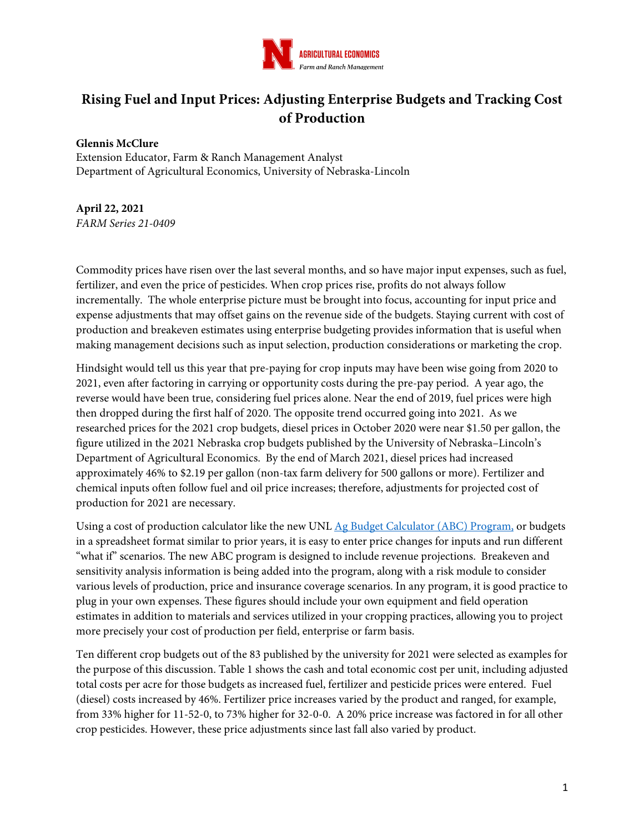

# **Rising Fuel and Input Prices: Adjusting Enterprise Budgets and Tracking Cost of Production**

#### **Glennis McClure**

Extension Educator, Farm & Ranch Management Analyst Department of Agricultural Economics, University of Nebraska-Lincoln

## **April 22, 2021**

*FARM Series 21-0409*

Commodity prices have risen over the last several months, and so have major input expenses, such as fuel, fertilizer, and even the price of pesticides. When crop prices rise, profits do not always follow incrementally. The whole enterprise picture must be brought into focus, accounting for input price and expense adjustments that may offset gains on the revenue side of the budgets. Staying current with cost of production and breakeven estimates using enterprise budgeting provides information that is useful when making management decisions such as input selection, production considerations or marketing the crop.

Hindsight would tell us this year that pre-paying for crop inputs may have been wise going from 2020 to 2021, even after factoring in carrying or opportunity costs during the pre-pay period. A year ago, the reverse would have been true, considering fuel prices alone. Near the end of 2019, fuel prices were high then dropped during the first half of 2020. The opposite trend occurred going into 2021. As we researched prices for the 2021 crop budgets, diesel prices in October 2020 were near \$1.50 per gallon, the figure utilized in the 2021 Nebraska crop budgets published by the University of Nebraska–Lincoln's Department of Agricultural Economics. By the end of March 2021, diesel prices had increased approximately 46% to \$2.19 per gallon (non-tax farm delivery for 500 gallons or more). Fertilizer and chemical inputs often follow fuel and oil price increases; therefore, adjustments for projected cost of production for 2021 are necessary.

Using a cost of production calculator like the new UNL Ag Budget Calculator (ABC) Program, or budgets in a spreadsheet format similar to prior years, it is easy to enter price changes for inputs and run different "what if" scenarios. The new ABC program is designed to include revenue projections. Breakeven and sensitivity analysis information is being added into the program, along with a risk module to consider various levels of production, price and insurance coverage scenarios. In any program, it is good practice to plug in your own expenses. These figures should include your own equipment and field operation estimates in addition to materials and services utilized in your cropping practices, allowing you to project more precisely your cost of production per field, enterprise or farm basis.

Ten different crop budgets out of the 83 published by the university for 2021 were selected as examples for the purpose of this discussion. Table 1 shows the cash and total economic cost per unit, including adjusted total costs per acre for those budgets as increased fuel, fertilizer and pesticide prices were entered. Fuel (diesel) costs increased by 46%. Fertilizer price increases varied by the product and ranged, for example, from 33% higher for 11-52-0, to 73% higher for 32-0-0. A 20% price increase was factored in for all other crop pesticides. However, these price adjustments since last fall also varied by product.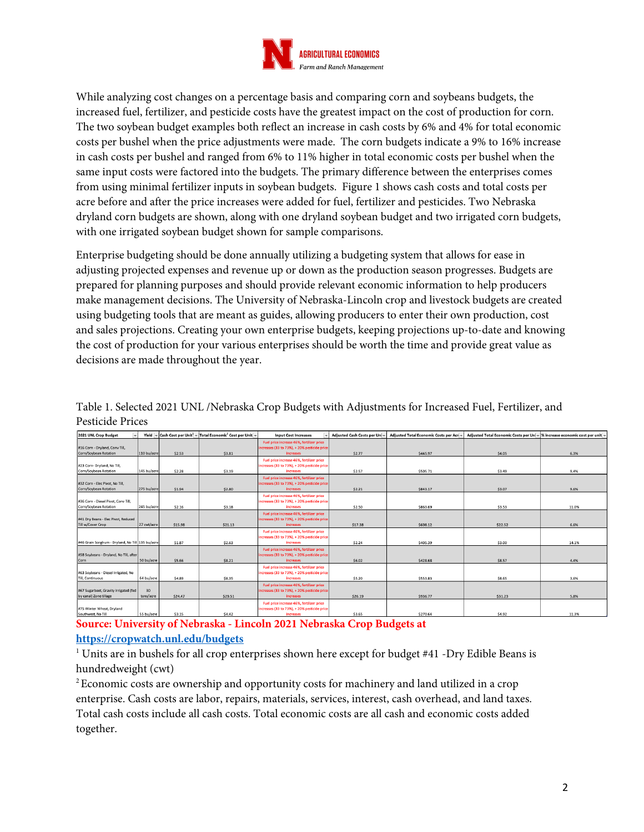

While analyzing cost changes on a percentage basis and comparing corn and soybeans budgets, the increased fuel, fertilizer, and pesticide costs have the greatest impact on the cost of production for corn. The two soybean budget examples both reflect an increase in cash costs by 6% and 4% for total economic costs per bushel when the price adjustments were made. The corn budgets indicate a 9% to 16% increase in cash costs per bushel and ranged from 6% to 11% higher in total economic costs per bushel when the same input costs were factored into the budgets. The primary difference between the enterprises comes from using minimal fertilizer inputs in soybean budgets. Figure 1 shows cash costs and total costs per acre before and after the price increases were added for fuel, fertilizer and pesticides. Two Nebraska dryland corn budgets are shown, along with one dryland soybean budget and two irrigated corn budgets, with one irrigated soybean budget shown for sample comparisons.

Enterprise budgeting should be done annually utilizing a budgeting system that allows for ease in adjusting projected expenses and revenue up or down as the production season progresses. Budgets are prepared for planning purposes and should provide relevant economic information to help producers make management decisions. The University of Nebraska-Lincoln crop and livestock budgets are created using budgeting tools that are meant as guides, allowing producers to enter their own production, cost and sales projections. Creating your own enterprise budgets, keeping projections up-to-date and knowing the cost of production for your various enterprises should be worth the time and provide great value as decisions are made throughout the year.

| 2021 UNL Crop Budget                                            |                 |         | Yield $\sqrt{ }$ Cash Cost per Unit <sup>2</sup> $\sqrt{ }$ Total Economic <sup>2</sup> Cost per Unit $\sqrt{ }$ | <b>Input Cost Increases</b>                                                                                   | Adiusted Cash Costs per Uni- | Adjusted Total Economic Costs per Acri = | Adjusted Total Economic Costs per Uni = % increase economic cost per unit = |       |
|-----------------------------------------------------------------|-----------------|---------|------------------------------------------------------------------------------------------------------------------|---------------------------------------------------------------------------------------------------------------|------------------------------|------------------------------------------|-----------------------------------------------------------------------------|-------|
| #16 Corn - Dryland, Conv Till,<br>Corn/Soybean Rotation         | 110 bu/acre     | \$2.53  | \$3.81                                                                                                           | Fuel price increase 46%, fertilizer price<br>increases (33 to 73%), + 20% pesticide price<br>increases        | \$2.77                       | \$445.97                                 | \$4.05                                                                      | 6.3%  |
| #23 Corn- Dryland, No Till.<br>Corn/Sovbean Rotation            | 145 bu/acre     | \$2.28  | \$3.19                                                                                                           | Fuel price increase 46%, fertilizer price<br>increases (33 to 73%), + 20% pesticide price<br><b>increases</b> | \$2.57                       | \$505.71                                 | \$3.49                                                                      | 9.4%  |
| #32 Corn - Elec Pivot, No Till,<br>Corn/Soybean Rotation        | 275 bu/acre     | \$1.94  | \$2.80                                                                                                           | Fuel price increase 46%, fertilizer price<br>ncreases (33 to 73%), + 20% pesticide price<br>increases         | \$2.21                       | \$843.17                                 | \$3.07                                                                      | 9.6%  |
| #36 Corn - Diesel Pivot, Conv Till,<br>Corn/Soybean Rotation    | 245 bu/acre     | \$2.16  | \$3.18                                                                                                           | Fuel price increase 46%, fertilizer price<br>increases (33 to 73%), + 20% pesticide price<br>increases        | \$2.50                       | \$863.69                                 | \$3.53                                                                      | 11.0% |
| #41 Dry Beans - Elec Pivot, Reduced<br>Till w/Cover Crop        | 27 cwt/acre     | \$15.98 | \$21.13                                                                                                          | Fuel price increase 46%, fertilizer price<br>ncreases (33 to 73%), + 20% pesticide price<br>increases         | \$17.38                      | \$608.12                                 | \$22.52                                                                     | 6.6%  |
| #46 Grain Sorghum - Drvland, No Till 135 bu/acre                |                 | \$1.87  | \$2.63                                                                                                           | Fuel price increase 46%, fertilizer price<br>increases (33 to 73%), + 20% pesticide price<br>increases        | \$2.24                       | \$405.39                                 | \$3.00                                                                      | 14.1% |
| #58 Soybeans - Dryland, No Till, after<br>Corn                  | 50 bu/acre      | \$5.66  | \$8.21                                                                                                           | Fuel price increase 46%, fertilizer price<br>increases (33 to 73%), + 20% pesticide price<br><i>increases</i> | \$6.02                       | \$428.68                                 | S8.57                                                                       | 4.4%  |
| #63 Soybeans - Diesel Irrigated, No<br><b>Till, Continuous</b>  | 64 bu/acre      | \$4.89  | \$8.35                                                                                                           | Fuel price increase 46%, fertilizer price<br>increases (33 to 73%), + 20% pesticide price<br>increases        | \$5.20                       | \$553.83                                 | \$8.65                                                                      | 3.6%  |
| #67 Sugarbeet, Gravity Irrigated (fed<br>by canal) Zone tillage | 30<br>tons/acre | \$24.47 | \$29.51                                                                                                          | Fuel price increase 46%, fertilizer price<br>increases (33 to 73%), + 20% pesticide price<br><i>increases</i> | \$26.19                      | \$936.77                                 | \$31.23                                                                     | 5.8%  |
| #75 Winter Wheat, Dryland<br>Southwest, No Till                 | 55 bu/acre      | \$3.15  | \$4.42                                                                                                           | Fuel price increase 46%, fertilizer price<br>increases (33 to 73%), + 20% pesticide price<br>increases        | \$3.65                       | \$270.64                                 | \$4.92                                                                      | 11.3% |

Table 1. Selected 2021 UNL /Nebraska Crop Budgets with Adjustments for Increased Fuel, Fertilizer, and Pesticide Prices

**Source: University of Nebraska - Lincoln 2021 Nebraska Crop Budgets at** 

### **https://cropwatch.unl.edu/budgets**

<sup>1</sup> Units are in bushels for all crop enterprises shown here except for budget #41 -Dry Edible Beans is hundredweight (cwt)

2 Economic costs are ownership and opportunity costs for machinery and land utilized in a crop enterprise. Cash costs are labor, repairs, materials, services, interest, cash overhead, and land taxes. Total cash costs include all cash costs. Total economic costs are all cash and economic costs added together.